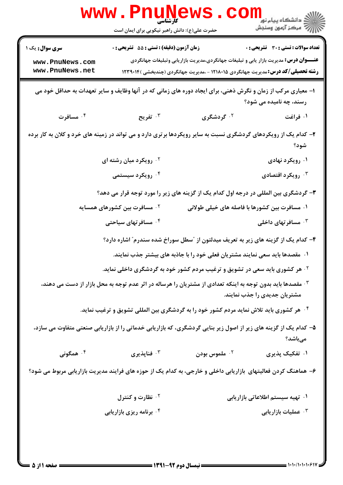|                                                                                                                                            | <b>WWW.PNUNG</b><br>کار شناسی<br>حضرت علی(ع): دانش راهبر نیکویی برای ایمان است |                                                                                                                                                                                         | ري دانشڪاه پيام نور <mark>−ا</mark><br>ا∛ مرکز آزمون وسنجش |
|--------------------------------------------------------------------------------------------------------------------------------------------|--------------------------------------------------------------------------------|-----------------------------------------------------------------------------------------------------------------------------------------------------------------------------------------|------------------------------------------------------------|
| <b>سری سوال :</b> یک ۱<br>www.PnuNews.com<br>www.PnuNews.net                                                                               | <b>زمان آزمون (دقیقه) : تستی : 55 تشریحی : 0</b>                               | <b>عنـــوان درس:</b> مدیریت بازار یابی و تبلیغات جهانگردی،مدیریت بازاریابی وتبلیغات جهانگردی<br><b>رشته تحصیلی/کد درس:</b> مدیریت جهانگردی ۱۲۱۸۰۱۵ - ،مدیریت جهانگردی (چندبخشی )۱۲۳۹۰۱۴ | تعداد سوالات : تستي : 30 ٪ تشريحي : 0                      |
| ا– معیاری مرکب از زمان و نگرش ذهنی، برای ایجاد دوره های زمانی که در آنها وظایف و سایر تعهدات به حداقل خود می<br>رسند، چه نامیده می شود؟    |                                                                                |                                                                                                                                                                                         |                                                            |
| ۰۴ مسافرت                                                                                                                                  | تفريح $\cdot$                                                                  | ۰ <sup>۲</sup> گردشگری                                                                                                                                                                  | ۰۱ فراغت                                                   |
| ۲- کدام یک از رویکردهای گردشگری نسبت به سایر رویکردها برتری دارد و می تواند در زمینه های خرد و کلان به کار برده                            |                                                                                |                                                                                                                                                                                         | شود؟                                                       |
|                                                                                                                                            | <sup>۲.</sup> رویکرد میان رشته ای                                              |                                                                                                                                                                                         | ۰۱ رویکرد نهادی                                            |
|                                                                                                                                            | ۰۴ رویکرد سیستمی                                                               |                                                                                                                                                                                         | ۰ <sup>۳</sup> رویکرد اقتصادی                              |
|                                                                                                                                            |                                                                                | ۳- گردشگری بین المللی در درجه اول کدام یک از گزینه های زیر را مورد توجه قرار می دهد؟                                                                                                    |                                                            |
|                                                                                                                                            | ۰ <sup>۲</sup> مسافرت بین کشورهای همسایه                                       | ۰۱ مسافرت بین کشورها با فاصله های خیلی طولانی                                                                                                                                           |                                                            |
|                                                                                                                                            | ۰۴ مسافرتهای سیاحتی                                                            |                                                                                                                                                                                         | سىنافر تهاى داخلى $\cdot^{\mathsf{y}}$                     |
|                                                                                                                                            |                                                                                | ۴– کدام یک از گزینه های زیر به تعریف میدلتون از "سطل سوراخ شده سندرم" اشاره دارد؟                                                                                                       |                                                            |
| ۰۱ مقصدها باید سعی نمایند مشتریان فعلی خود را با جاذبه های بیشتر جذب نمایند.                                                               |                                                                                |                                                                                                                                                                                         |                                                            |
|                                                                                                                                            |                                                                                | <b>گ هر کشوری باید سعی در تشویق و ترغیب مردم کشور خود به گردشگری داخلی نماید.</b>                                                                                                       |                                                            |
| ۰۳ مقصدها باید بدون توجه به اینکه تعدادی از مشتریان را هرساله در اثر عدم توجه به محل بازار از دست می دهند،<br>مشتریان جدیدی را جذب نمایند. |                                                                                |                                                                                                                                                                                         |                                                            |
|                                                                                                                                            |                                                                                | ۰ <sup>۴</sup> هر کشوری باید تلاش نماید مردم کشور خود را به گردشگری بین المللی تشویق و ترغیب نماید.                                                                                     |                                                            |
| ۵- کدام یک از گزینه های زیر از اصول زیر بنایی گردشگری، که بازاریابی خدماتی را از بازاریابی صنعتی متفاوت می سازد،<br>مىباشد؟                |                                                                                |                                                                                                                                                                                         |                                                            |
| ۰۴ همگونی                                                                                                                                  | فناپذيري $\cdot$                                                               | لسوس بودن $\cdot$ ۲ ملموس $\cdot$ ۲                                                                                                                                                     | ۰۱ تفکیک پذیری                                             |
| ۶– هماهنگ کردن فعالیتهای بازاریابی داخلی و خارجی، به کدام یک از حوزه های فرایند مدیریت بازاریابی مربوط می شود؟                             |                                                                                |                                                                                                                                                                                         |                                                            |
|                                                                                                                                            | <b>10 نظارت و کنترل</b>                                                        |                                                                                                                                                                                         | ۰۱ تهیه سیستم اطلاعاتی بازاریابی                           |
|                                                                                                                                            | ۰۴ برنامه ریزی بازاریابی                                                       |                                                                                                                                                                                         | ۰۳ عملیات بازاریابی                                        |
|                                                                                                                                            |                                                                                |                                                                                                                                                                                         |                                                            |

 $= 1.1.1.1.1.9$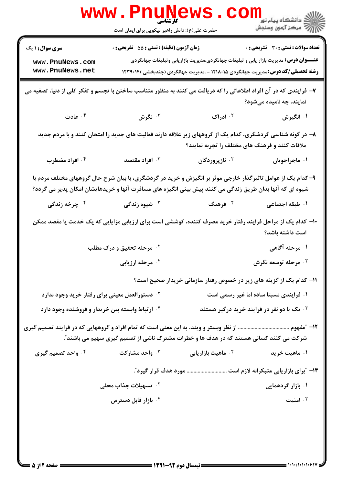|                                                                                                                                                                                                                         | WWW . PN<br>UN<br>کارشناسی<br>حضرت علی(ع): دانش راهبر نیکویی برای ایمان است             |                                                                                              | ڪ دانشڪاه پيام نور<br>ا∛ مرکز آزمون وسنجش  |
|-------------------------------------------------------------------------------------------------------------------------------------------------------------------------------------------------------------------------|-----------------------------------------------------------------------------------------|----------------------------------------------------------------------------------------------|--------------------------------------------|
| <b>سری سوال : ۱ یک</b>                                                                                                                                                                                                  | <b>زمان آزمون (دقیقه) : تستی : 55 تشریحی : 0</b>                                        |                                                                                              | تعداد سوالات : تستى : 30 قشريحى : 0        |
| www.PnuNews.com                                                                                                                                                                                                         |                                                                                         | <b>عنـــوان درس:</b> مدیریت بازار یابی و تبلیغات جهانگردی،مدیریت بازاریابی وتبلیغات جهانگردی |                                            |
| www.PnuNews.net                                                                                                                                                                                                         |                                                                                         | <b>رشته تحصیلی/کد درس:</b> مدیریت جهانگردی ۱۲۱۸۰۱۵ - ،مدیریت جهانگردی (چندبخشی )۱۲۳۹۰۱۴      |                                            |
| ۷- فرایندی که در آن افراد اطلاعاتی را که دریافت می کنند به منظور متناسب ساختن با تجسم و تفکر کلی از دنیا، تصفیه می<br>نمایند، چه نامیده میشود؟                                                                          |                                                                                         |                                                                                              |                                            |
| ا عادت $\cdot$ $^\circ$                                                                                                                                                                                                 | تگرش $\cdot$ "                                                                          | ۰۲ ادراک                                                                                     | ۰۱ انگیزش                                  |
| ۸– در گونه شناسی گردشگری، کدام یک از گروههای زیر علاقه دارند فعالیت های جدید را امتحان کنند و با مردم جدید<br>ملاقات کنند و فرهنگ های مختلف را تجربه نمایند؟                                                            |                                                                                         |                                                                                              |                                            |
| ۰۴ افراد مضطرب                                                                                                                                                                                                          | افراد مقتصد $\cdot$ "                                                                   | ۰ <sup>۲</sup> نازپروردگان                                                                   | ۰۱ ماجراجویان                              |
| ۹- کدام یک از عوامل تاثیرگذار خارجی موثر بر انگیزش و خرید در گردشگری، با بیان شرح حال گروههای مختلف مردم با<br>شیوه ای که آنها بدان طریق زندگی می کنند پیش بینی انگیزه های مسافرت آنها و خریدهایشان امکان پذیر می گردد؟ |                                                                                         |                                                                                              |                                            |
| ۰ <sup>۴</sup> چرخه زندگی                                                                                                                                                                                               | ۰ <sup>۳</sup> شیوه زندگی                                                               | ۰۲ فرهنگ                                                                                     | ۰۱ طبقه اجتماعی                            |
| ۱۰– کدام یک از مراحل فرایند رفتار خرید مصرف کننده، کوششی است برای ارزیابی مزایایی که یک خدمت یا مقصد ممکن<br>است داشته باشد؟                                                                                            |                                                                                         |                                                                                              |                                            |
|                                                                                                                                                                                                                         | <sup>۲.</sup> مرحله تحقیق و درک مطلب                                                    |                                                                                              | ۰۱ مرحله آگاهی                             |
|                                                                                                                                                                                                                         | ۰۴ مرحله ارزیابی                                                                        |                                                                                              | مرحله توسعه نگرش $\cdot^{\mathsf{y}}$      |
|                                                                                                                                                                                                                         |                                                                                         | 1۱– کدام یک از گزینه های زیر در خصوص رفتار سازمانی خریدار صحیح است؟                          |                                            |
| <sup>۲ .</sup> دستورالعمل معینی برای رفتار خرید وجود ندارد                                                                                                                                                              |                                                                                         |                                                                                              | ۰۱ فرایندی نسبتا ساده اما غیر رسمی است     |
| ۰۴ ارتباط وابسته بین خریدار و فروشنده وجود دارد                                                                                                                                                                         |                                                                                         |                                                                                              | ۰۳ یک یا دو نفر در فرایند خرید درگیر هستند |
|                                                                                                                                                                                                                         |                                                                                         |                                                                                              |                                            |
|                                                                                                                                                                                                                         | شرکت می کنند کسانی هستند که در هدف ها و خطرات مشترک ناشی از تصمیم گیری سهیم می باشند ؒ. |                                                                                              |                                            |
| ۰۴ واحد تصمیم گیری                                                                                                                                                                                                      | ۰۳ واحد مشارکت                                                                          | <sup>۲</sup> ۰ ماهیت بازاریابی                                                               | ۰۱ ماهیت خرید                              |
|                                                                                                                                                                                                                         |                                                                                         | ۱۳- "برای بازاریابی متبکرانه لازم است  مورد هدف قرار گیرد ّ.                                 |                                            |
|                                                                                                                                                                                                                         | ۰ <sup>۲</sup> تسهیلات جذاب محلی                                                        |                                                                                              | ۰۱ بازار گردهمایی                          |
|                                                                                                                                                                                                                         | ۰ <sup>۴</sup> بازار قابل دسترس                                                         |                                                                                              | ۰۳ امنیت                                   |
|                                                                                                                                                                                                                         |                                                                                         |                                                                                              |                                            |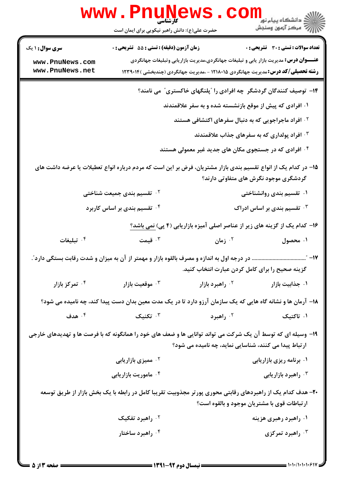|                                                                                                                                                        | <b>WWW . PNUN</b><br>کارشناسی<br>حضرت علی(ع): دانش راهبر نیکویی برای ایمان است |                                                                                                                                                                                         | ڪ دانشڪاه پيام نور<br>ا∛ مرڪز آزمون وسنڊش    |
|--------------------------------------------------------------------------------------------------------------------------------------------------------|--------------------------------------------------------------------------------|-----------------------------------------------------------------------------------------------------------------------------------------------------------------------------------------|----------------------------------------------|
| <b>سری سوال : ۱ یک</b>                                                                                                                                 | <b>زمان آزمون (دقیقه) : تستی : 55 تشریحی : 0</b>                               |                                                                                                                                                                                         | <b>تعداد سوالات : تستی : 30 ٪ تشریحی : 0</b> |
| www.PnuNews.com<br>www.PnuNews.net                                                                                                                     |                                                                                | <b>عنـــوان درس:</b> مدیریت بازار یابی و تبلیغات جهانگردی،مدیریت بازاریابی وتبلیغات جهانگردی<br><b>رشته تحصیلی/کد درس:</b> مدیریت جهانگردی ۱۲۱۸۰۱۵ - ،مدیریت جهانگردی (چندبخشی )۱۲۳۹۰۱۴ |                                              |
|                                                                                                                                                        |                                                                                | ۱۴- توصیف کنندگان گردشگر چه افرادی را "پلنگهای خاکستری" می نامند؟                                                                                                                       |                                              |
|                                                                                                                                                        | ۰۱ افرادی که پیش از موقع بازنشسته شده و به سفر علاقمندند                       |                                                                                                                                                                                         |                                              |
| <sup>۲ .</sup> افراد ماجراجویی که به دنبال سفرهای اکتشافی هستند                                                                                        |                                                                                |                                                                                                                                                                                         |                                              |
| افراد پولداری که به سفرهای جذاب علاقمندند "                                                                                                            |                                                                                |                                                                                                                                                                                         |                                              |
|                                                                                                                                                        |                                                                                | <sup>۰۴</sup> افرادی که در جستجوی مکان های جدید غیر معمولی هستند                                                                                                                        |                                              |
|                                                                                                                                                        |                                                                                | 1۵– در کدام یک از انواع تقسیم بندی بازار مشتریان، فرض بر این است که مردم درباره انواع تعطیلات یا عرضه داشت های                                                                          | گردشگری موجود نگرش های متفاوتی دارند؟        |
|                                                                                                                                                        | ۰۲ تقسیم بندی جمیعت شناختی                                                     |                                                                                                                                                                                         | ۰۱ تقسیم بندی روانشناختی                     |
|                                                                                                                                                        | ۰۴ تقسیم بندی بر اساس کاربرد                                                   |                                                                                                                                                                                         | ۰۳ تقسیم بندی بر اساس ادراک                  |
|                                                                                                                                                        |                                                                                | ۱۶– کدام یک از گزینه های زیر از عناصر اصلی آمیزه بازاریابی (۴ پی) <u>نمی باشد؟</u>                                                                                                      |                                              |
| ۰ <sup>۴</sup> تبلیغات                                                                                                                                 | تا قیمت $\cdot$                                                                | ۰ <sup>۲</sup> زمان                                                                                                                                                                     | ۰۱ محصول                                     |
| در درجه اول به اندازه و مصرف بالقوه بازار و مهمتر از آن به میزان و شدت رقابت بستگی دارد".<br>1∨– ″.<br>گزینه صحیح را برای کامل کردن عبارت انتخاب کنید. |                                                                                |                                                                                                                                                                                         |                                              |
| ۰۴ تمرکز بازار                                                                                                                                         | وقعیت بازار $\cdot$ ۳ هوقعیت $\cdot$                                           | ۰ <sup>۲</sup> راهبرد بازار                                                                                                                                                             | ۰۱ جذابیت بازار                              |
|                                                                                                                                                        |                                                                                | ۱۸- آرمان ها و نشانه گاه هایی که یک سازمان آرزو دارد تا در یک مدت معین بدان دست پیدا کند، چه نامیده می شود؟                                                                             |                                              |
| ۰۴ هدف                                                                                                                                                 | تكنيک $\cdot^{\mathsf{r}}$                                                     | ۰ <sup>۲</sup> راهبرد                                                                                                                                                                   | ۰۱ تاکتیک                                    |
| ۱۹- وسیله ای که توسط آن یک شرکت می تواند توانایی ها و ضعف های خود را همانگونه که با فرصت ها و تهدیدهای خارجی                                           |                                                                                | ارتباط پیدا می کنند، شناسایی نماید، چه نامیده می شود؟                                                                                                                                   |                                              |
| ۰ <sup>۲</sup> ممیزی بازاریابی                                                                                                                         |                                                                                |                                                                                                                                                                                         | ۰۱ برنامه ریزی بازاریابی                     |
| ۰ <sup>۴</sup> ماموریت بازاریابی                                                                                                                       |                                                                                |                                                                                                                                                                                         | ۰۳ راهبرد بازاریابی                          |
|                                                                                                                                                        |                                                                                | ۲۰– هدف کدام یک از راهبردهای رقابتی محوری پورتر مجذوبیت تقریبا کامل در رابطه با یک بخش بازار از طریق توسعه<br>ار تباطات قوی با مشتریان موجود و بالقوه است؟                              |                                              |
|                                                                                                                                                        | ۰ <sup>۲</sup> راهبرد تفکیک                                                    |                                                                                                                                                                                         | ۰۱ راهبرد رهبری هزینه                        |
|                                                                                                                                                        | ۰۴ راهبرد ساختار                                                               |                                                                                                                                                                                         | راهبرد تمرکزی $\cdot^{\mathsf{y}}$           |
|                                                                                                                                                        |                                                                                |                                                                                                                                                                                         |                                              |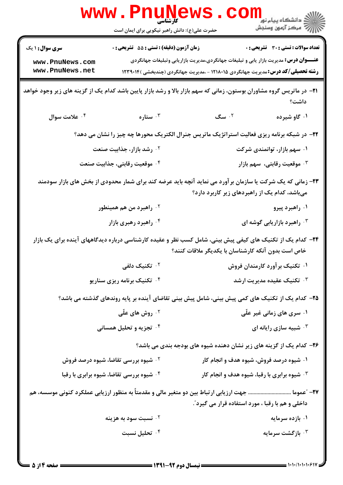|                                                                                                                                                                          | <b>www.PnuNews</b><br>کارشناسی<br>حضرت علی(ع): دانش راهبر نیکویی برای ایمان است                  |                                                                                                                                                                                         | ر دانشگاه پيام نور <mark>−</mark><br>ار <i>آهر کرد آزمون وسنجش</i> |
|--------------------------------------------------------------------------------------------------------------------------------------------------------------------------|--------------------------------------------------------------------------------------------------|-----------------------------------------------------------------------------------------------------------------------------------------------------------------------------------------|--------------------------------------------------------------------|
| <b>سری سوال : ۱ یک</b><br>www.PnuNews.com<br>www.PnuNews.net                                                                                                             | <b>زمان آزمون (دقیقه) : تستی : 55 تشریحی : 0</b>                                                 | <b>عنـــوان درس:</b> مدیریت بازار یابی و تبلیغات جهانگردی،مدیریت بازاریابی وتبلیغات جهانگردی<br><b>رشته تحصیلی/کد درس:</b> مدیریت جهانگردی ۱۲۱۸۰۱۵ - ،مدیریت جهانگردی (چندبخشی )۱۲۳۹۰۱۴ | تعداد سوالات : تستي : 30 ٪ تشريحي : 0                              |
| <b>۲۱</b> - در ماتریس گروه مشاوران بوستون، زمانی که سهم بازار بالا و رشد بازار پایین باشد کدام یک از گزینه های زیر وجود خواهد                                            |                                                                                                  |                                                                                                                                                                                         | داشت؟                                                              |
| ۰۴ علامت سوال                                                                                                                                                            | ۰۳ ستاره $\cdot$                                                                                 | ۰۲ سگ                                                                                                                                                                                   | ۰۱ گاو شیرده                                                       |
|                                                                                                                                                                          | ۲۲- در شبکه برنامه ریزی فعالیت استراتژیک ماتریس جنرال الکتریک محورها چه چیز را نشان می دهد؟      |                                                                                                                                                                                         |                                                                    |
|                                                                                                                                                                          | ۰ <sup>۲</sup> رشد بازار، جذابیت صنعت                                                            |                                                                                                                                                                                         | ۰۱ سهم بازار، توانمندی شرکت                                        |
|                                                                                                                                                                          | ۰۴ موقعیت رقابتی، جذابیت صنعت                                                                    |                                                                                                                                                                                         | هوقعیت رقابتی، سهم بازار $\cdot$                                   |
| ۲۳- زمانی که یک شرکت یا سازمان برآورد می نماید آنچه باید عرضه کند برای شمار محدودی از بخش های بازار سودمند<br>میباشد، کدام یک از راهبردهای زیر کاربرد دارد؟              |                                                                                                  |                                                                                                                                                                                         |                                                                    |
|                                                                                                                                                                          | ۰ <sup>۲</sup> راهبرد من هم همینطور                                                              |                                                                                                                                                                                         | ۰۱ راهبرد پیرو                                                     |
|                                                                                                                                                                          | ۰۴ راهبرد رهبری بازار                                                                            |                                                                                                                                                                                         | ۰۳ راهبرد بازاریابی گوشه ای                                        |
| <b>۳۴</b> – کدام یک از تکنیک های کیفی پیش بینی، شامل کسب نظر و عقیده کارشناسی درباره دیدگاههای آینده برای یک بازار<br>خاص است بدون آنکه کارشناسان با یکدیگر ملاقات کنند؟ |                                                                                                  |                                                                                                                                                                                         |                                                                    |
|                                                                                                                                                                          | ۰ <sup>۲</sup> تکنیک دلفی                                                                        |                                                                                                                                                                                         | ۰۱ تکنیک بر آورد کارمندان فروش                                     |
|                                                                                                                                                                          | ۰۴ تکنیک برنامه ریزی سناریو                                                                      |                                                                                                                                                                                         | ۰۳ تکنیک عقیده مدیریت ارشد $\cdot$                                 |
|                                                                                                                                                                          | ۲۵– کدام یک از تکنیک های کمی پیش بینی، شامل پیش بینی تقاضای آینده بر پایه روندهای گذشته می باشد؟ |                                                                                                                                                                                         |                                                                    |
|                                                                                                                                                                          | ۰ <sup>۲</sup> روش های علّی                                                                      |                                                                                                                                                                                         | ۰۱ سری های زمانی غیر علّی                                          |
|                                                                                                                                                                          | ۰۴ تجزیه و تحلیل همسانی                                                                          |                                                                                                                                                                                         | شبیه سازی رایانه ای $\cdot^{\mathsf{\texttt{v}}}$                  |
| ۲۶- کدام یک از گزینه های زیر نشان دهنده شیوه های بودجه بندی می باشد؟                                                                                                     |                                                                                                  |                                                                                                                                                                                         |                                                                    |
|                                                                                                                                                                          | <b>۲ . شیوه بررسی تقاضا، شیوه درصد فروش</b>                                                      | ۰۱ شیوه درصد فروش، شیوه هدف و انجام کار                                                                                                                                                 |                                                                    |
|                                                                                                                                                                          | <b>۴ قسیوه بررسی تقاضا، شیوه برابری با رقبا</b> *                                                | <b>4 . شیوه برابری با رقبا، شیوه هدف و انجام کار</b>                                                                                                                                    |                                                                    |
|                                                                                                                                                                          |                                                                                                  | داخلی و هم با رقبا ، مورد استفاده قرار می گیرد ؒ.                                                                                                                                       |                                                                    |
|                                                                                                                                                                          | <sup>7 .</sup> نسبت سود به هزینه                                                                 |                                                                                                                                                                                         | ۰۱ بازده سرمایه                                                    |
|                                                                                                                                                                          | ۰۴ تحلیل نسبت                                                                                    |                                                                                                                                                                                         | بازگشت سرمایه $\cdot^{\mathsf{y}}$                                 |
|                                                                                                                                                                          |                                                                                                  |                                                                                                                                                                                         |                                                                    |